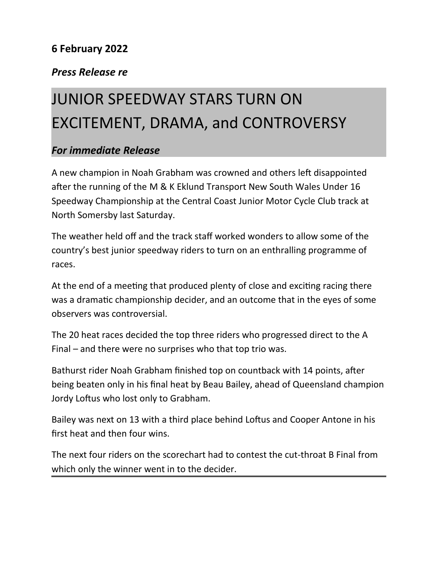## **6 February 2022**

## *Press Release re*

## JUNIOR SPEEDWAY STARS TURN ON EXCITEMENT, DRAMA, and CONTROVERSY

## *For immediate Release*

A new champion in Noah Grabham was crowned and others left disappointed after the running of the M & K Eklund Transport New South Wales Under 16 Speedway Championship at the Central Coast Junior Motor Cycle Club track at North Somersby last Saturday.

The weather held off and the track staff worked wonders to allow some of the country's best junior speedway riders to turn on an enthralling programme of races.

At the end of a meeting that produced plenty of close and exciting racing there was a dramatic championship decider, and an outcome that in the eyes of some observers was controversial.

The 20 heat races decided the top three riders who progressed direct to the A Final – and there were no surprises who that top trio was.

Bathurst rider Noah Grabham finished top on countback with 14 points, after being beaten only in his final heat by Beau Bailey, ahead of Queensland champion Jordy Loftus who lost only to Grabham.

Bailey was next on 13 with a third place behind Loftus and Cooper Antone in his first heat and then four wins.

The next four riders on the scorechart had to contest the cut-throat B Final from which only the winner went in to the decider.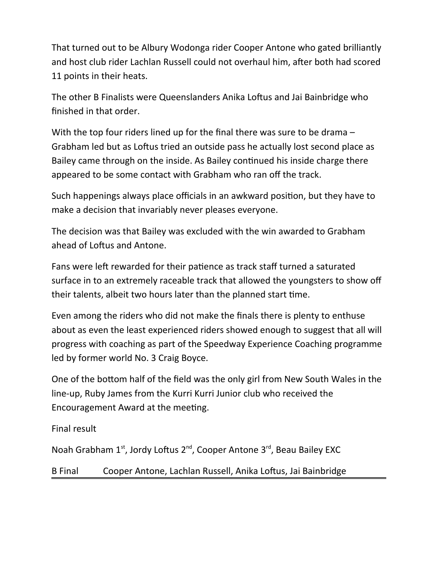That turned out to be Albury Wodonga rider Cooper Antone who gated brilliantly and host club rider Lachlan Russell could not overhaul him, after both had scored 11 points in their heats.

The other B Finalists were Queenslanders Anika Loftus and Jai Bainbridge who finished in that order.

With the top four riders lined up for the final there was sure to be drama – Grabham led but as Loftus tried an outside pass he actually lost second place as Bailey came through on the inside. As Bailey continued his inside charge there appeared to be some contact with Grabham who ran off the track.

Such happenings always place officials in an awkward position, but they have to make a decision that invariably never pleases everyone.

The decision was that Bailey was excluded with the win awarded to Grabham ahead of Loftus and Antone.

Fans were left rewarded for their patience as track staff turned a saturated surface in to an extremely raceable track that allowed the youngsters to show off their talents, albeit two hours later than the planned start time.

Even among the riders who did not make the finals there is plenty to enthuse about as even the least experienced riders showed enough to suggest that all will progress with coaching as part of the Speedway Experience Coaching programme led by former world No. 3 Craig Boyce.

One of the bottom half of the field was the only girl from New South Wales in the line-up, Ruby James from the Kurri Kurri Junior club who received the Encouragement Award at the meeting.

Final result

Noah Grabham 1<sup>st</sup>, Jordy Loftus 2<sup>nd</sup>, Cooper Antone 3<sup>rd</sup>, Beau Bailey EXC

B Final Cooper Antone, Lachlan Russell, Anika Loftus, Jai Bainbridge